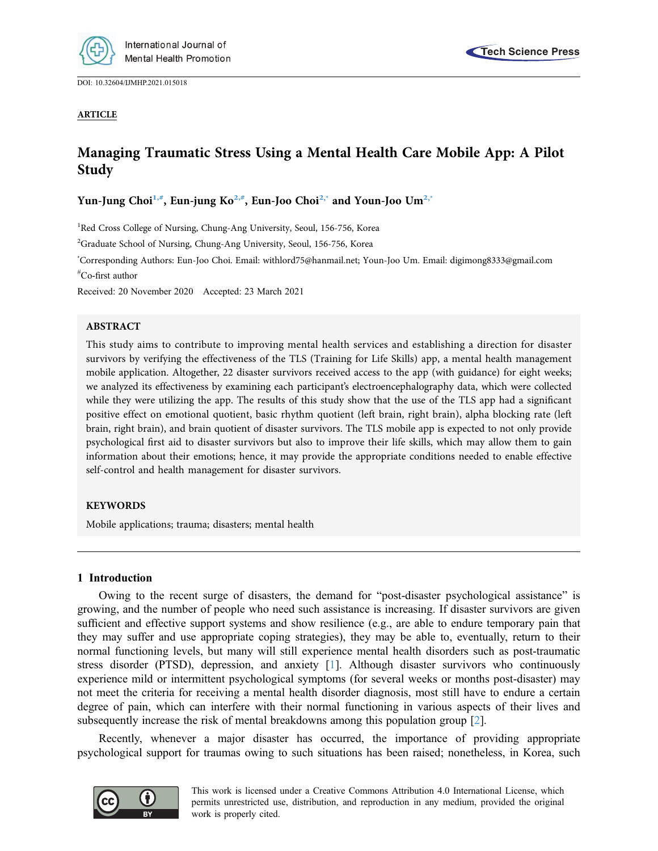

DOI: [10.32604/IJMHP.2021.015018](http://dx.doi.org/10.32604/IJMHP.2021.015018)



### ARTICLE

# Managing Traumatic Stress Using a Mental Health Care Mobile App: A Pilot Study

Yun-Jung Choi<sup>[1,](#page-0-0)[#](#page-0-1)</sup>, Eun-jung Ko<sup>[2,](#page-0-2)#</sup>, Eun-Joo Choi<sup>[2](#page-0-2)[,\\*](#page-0-3)</sup> and Youn-Joo Um<sup>2,\*</sup>

<span id="page-0-0"></span><sup>1</sup>Red Cross College of Nursing, Chung-Ang University, Seoul, 156-756, Korea

<span id="page-0-2"></span><sup>2</sup>Graduate School of Nursing, Chung-Ang University, Seoul, 156-756, Korea

<span id="page-0-3"></span><span id="page-0-1"></span>\* Corresponding Authors: Eun-Joo Choi. Email: [withlord75@hanmail.net;](mailto:withlord75@hanmail.net) Youn-Joo Um. Email: [digimong8333@gmail.com](mailto:digimong8333@gmail.com) # Co-first author

Received: 20 November 2020 Accepted: 23 March 2021

### ABSTRACT

This study aims to contribute to improving mental health services and establishing a direction for disaster survivors by verifying the effectiveness of the TLS (Training for Life Skills) app, a mental health management mobile application. Altogether, 22 disaster survivors received access to the app (with guidance) for eight weeks; we analyzed its effectiveness by examining each participant's electroencephalography data, which were collected while they were utilizing the app. The results of this study show that the use of the TLS app had a significant positive effect on emotional quotient, basic rhythm quotient (left brain, right brain), alpha blocking rate (left brain, right brain), and brain quotient of disaster survivors. The TLS mobile app is expected to not only provide psychological first aid to disaster survivors but also to improve their life skills, which may allow them to gain information about their emotions; hence, it may provide the appropriate conditions needed to enable effective self-control and health management for disaster survivors.

### **KEYWORDS**

Mobile applications; trauma; disasters; mental health

### 1 Introduction

Owing to the recent surge of disasters, the demand for "post-disaster psychological assistance" is growing, and the number of people who need such assistance is increasing. If disaster survivors are given sufficient and effective support systems and show resilience (e.g., are able to endure temporary pain that they may suffer and use appropriate coping strategies), they may be able to, eventually, return to their normal functioning levels, but many will still experience mental health disorders such as post-traumatic stress disorder (PTSD), depression, and anxiety  $[1]$  $[1]$  $[1]$ . Although disaster survivors who continuously experience mild or intermittent psychological symptoms (for several weeks or months post-disaster) may not meet the criteria for receiving a mental health disorder diagnosis, most still have to endure a certain degree of pain, which can interfere with their normal functioning in various aspects of their lives and subsequently increase the risk of mental breakdowns among this population group [\[2\]](#page-7-1).

Recently, whenever a major disaster has occurred, the importance of providing appropriate psychological support for traumas owing to such situations has been raised; nonetheless, in Korea, such

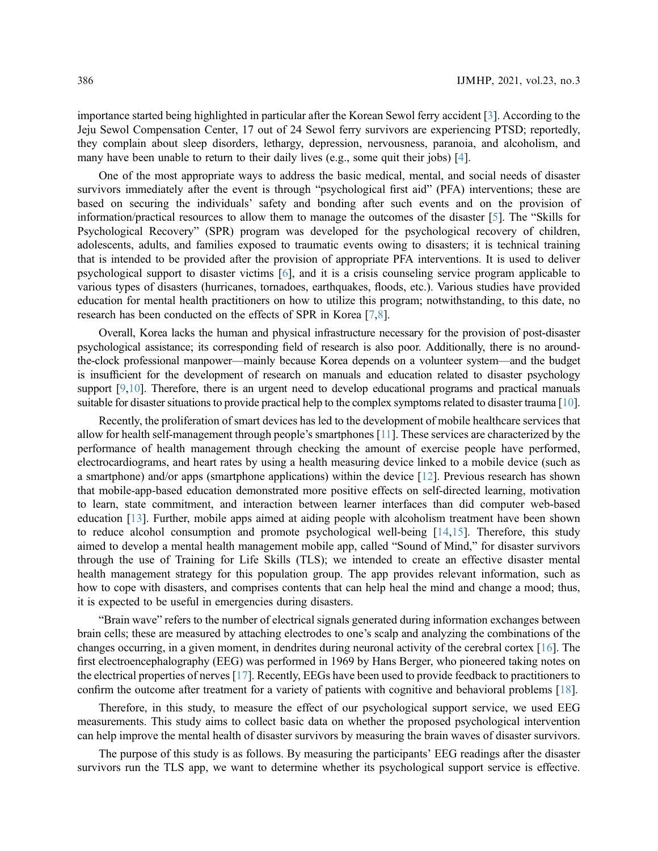importance started being highlighted in particular after the Korean Sewol ferry accident [[3](#page-7-2)]. According to the Jeju Sewol Compensation Center, 17 out of 24 Sewol ferry survivors are experiencing PTSD; reportedly, they complain about sleep disorders, lethargy, depression, nervousness, paranoia, and alcoholism, and many have been unable to return to their daily lives (e.g., some quit their jobs) [[4](#page-7-3)].

One of the most appropriate ways to address the basic medical, mental, and social needs of disaster survivors immediately after the event is through "psychological first aid" (PFA) interventions; these are based on securing the individuals' safety and bonding after such events and on the provision of information/practical resources to allow them to manage the outcomes of the disaster [\[5\]](#page-7-4). The "Skills for Psychological Recovery" (SPR) program was developed for the psychological recovery of children, adolescents, adults, and families exposed to traumatic events owing to disasters; it is technical training that is intended to be provided after the provision of appropriate PFA interventions. It is used to deliver psychological support to disaster victims [[6](#page-7-5)], and it is a crisis counseling service program applicable to various types of disasters (hurricanes, tornadoes, earthquakes, floods, etc.). Various studies have provided education for mental health practitioners on how to utilize this program; notwithstanding, to this date, no research has been conducted on the effects of SPR in Korea [\[7](#page-7-6)[,8\]](#page-7-7).

Overall, Korea lacks the human and physical infrastructure necessary for the provision of post-disaster psychological assistance; its corresponding field of research is also poor. Additionally, there is no aroundthe-clock professional manpower—mainly because Korea depends on a volunteer system—and the budget is insufficient for the development of research on manuals and education related to disaster psychology support [[9](#page-7-8),[10](#page-7-9)]. Therefore, there is an urgent need to develop educational programs and practical manuals suitable for disaster situations to provide practical help to the complex symptoms related to disaster trauma [\[10\]](#page-7-9).

Recently, the proliferation of smart devices has led to the development of mobile healthcare services that allow for health self-management through people's smartphones [[11\]](#page-7-10). These services are characterized by the performance of health management through checking the amount of exercise people have performed, electrocardiograms, and heart rates by using a health measuring device linked to a mobile device (such as a smartphone) and/or apps (smartphone applications) within the device [\[12](#page-8-0)]. Previous research has shown that mobile-app-based education demonstrated more positive effects on self-directed learning, motivation to learn, state commitment, and interaction between learner interfaces than did computer web-based education [[13](#page-8-1)]. Further, mobile apps aimed at aiding people with alcoholism treatment have been shown to reduce alcohol consumption and promote psychological well-being [[14,](#page-8-2)[15\]](#page-8-3). Therefore, this study aimed to develop a mental health management mobile app, called "Sound of Mind," for disaster survivors through the use of Training for Life Skills (TLS); we intended to create an effective disaster mental health management strategy for this population group. The app provides relevant information, such as how to cope with disasters, and comprises contents that can help heal the mind and change a mood; thus, it is expected to be useful in emergencies during disasters.

"Brain wave" refers to the number of electrical signals generated during information exchanges between brain cells; these are measured by attaching electrodes to one's scalp and analyzing the combinations of the changes occurring, in a given moment, in dendrites during neuronal activity of the cerebral cortex [\[16](#page-8-4)]. The first electroencephalography (EEG) was performed in 1969 by Hans Berger, who pioneered taking notes on the electrical properties of nerves [[17\]](#page-8-5). Recently, EEGs have been used to provide feedback to practitioners to confirm the outcome after treatment for a variety of patients with cognitive and behavioral problems [[18\]](#page-8-6).

Therefore, in this study, to measure the effect of our psychological support service, we used EEG measurements. This study aims to collect basic data on whether the proposed psychological intervention can help improve the mental health of disaster survivors by measuring the brain waves of disaster survivors.

The purpose of this study is as follows. By measuring the participants' EEG readings after the disaster survivors run the TLS app, we want to determine whether its psychological support service is effective.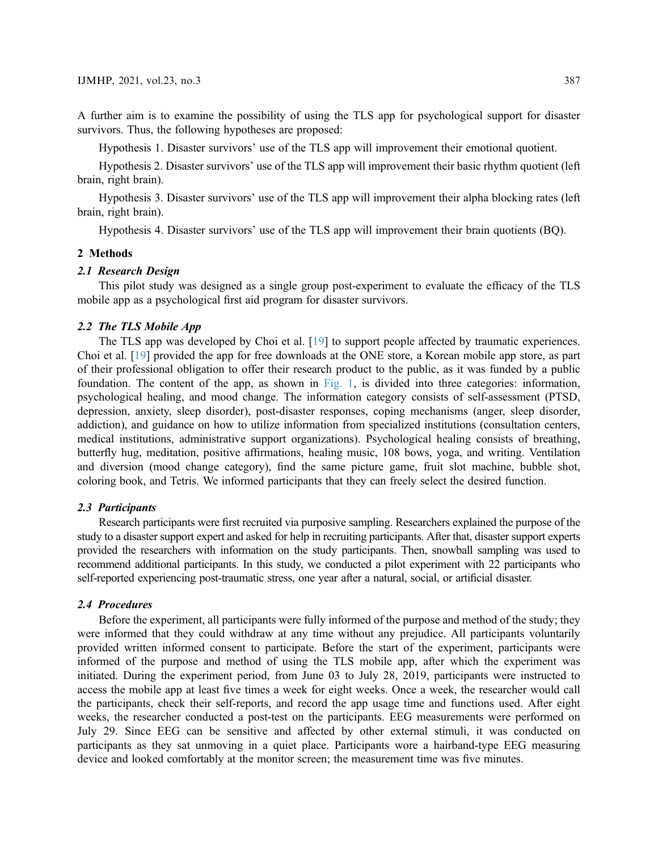A further aim is to examine the possibility of using the TLS app for psychological support for disaster survivors. Thus, the following hypotheses are proposed:

Hypothesis 1. Disaster survivors' use of the TLS app will improvement their emotional quotient.

Hypothesis 2. Disaster survivors' use of the TLS app will improvement their basic rhythm quotient (left brain, right brain).

Hypothesis 3. Disaster survivors' use of the TLS app will improvement their alpha blocking rates (left brain, right brain).

Hypothesis 4. Disaster survivors' use of the TLS app will improvement their brain quotients (BQ).

### 2 Methods

### 2.1 Research Design

This pilot study was designed as a single group post-experiment to evaluate the efficacy of the TLS mobile app as a psychological first aid program for disaster survivors.

### 2.2 The TLS Mobile App

The TLS app was developed by Choi et al. [[19\]](#page-8-7) to support people affected by traumatic experiences. Choi et al. [\[19](#page-8-7)] provided the app for free downloads at the ONE store, a Korean mobile app store, as part of their professional obligation to offer their research product to the public, as it was funded by a public foundation. The content of the app, as shown in [Fig. 1](#page-3-0), is divided into three categories: information, psychological healing, and mood change. The information category consists of self-assessment (PTSD, depression, anxiety, sleep disorder), post-disaster responses, coping mechanisms (anger, sleep disorder, addiction), and guidance on how to utilize information from specialized institutions (consultation centers, medical institutions, administrative support organizations). Psychological healing consists of breathing, butterfly hug, meditation, positive affirmations, healing music, 108 bows, yoga, and writing. Ventilation and diversion (mood change category), find the same picture game, fruit slot machine, bubble shot, coloring book, and Tetris. We informed participants that they can freely select the desired function.

### 2.3 Participants

Research participants were first recruited via purposive sampling. Researchers explained the purpose of the study to a disaster support expert and asked for help in recruiting participants. After that, disaster support experts provided the researchers with information on the study participants. Then, snowball sampling was used to recommend additional participants. In this study, we conducted a pilot experiment with 22 participants who self-reported experiencing post-traumatic stress, one year after a natural, social, or artificial disaster.

### 2.4 Procedures

Before the experiment, all participants were fully informed of the purpose and method of the study; they were informed that they could withdraw at any time without any prejudice. All participants voluntarily provided written informed consent to participate. Before the start of the experiment, participants were informed of the purpose and method of using the TLS mobile app, after which the experiment was initiated. During the experiment period, from June 03 to July 28, 2019, participants were instructed to access the mobile app at least five times a week for eight weeks. Once a week, the researcher would call the participants, check their self-reports, and record the app usage time and functions used. After eight weeks, the researcher conducted a post-test on the participants. EEG measurements were performed on July 29. Since EEG can be sensitive and affected by other external stimuli, it was conducted on participants as they sat unmoving in a quiet place. Participants wore a hairband-type EEG measuring device and looked comfortably at the monitor screen; the measurement time was five minutes.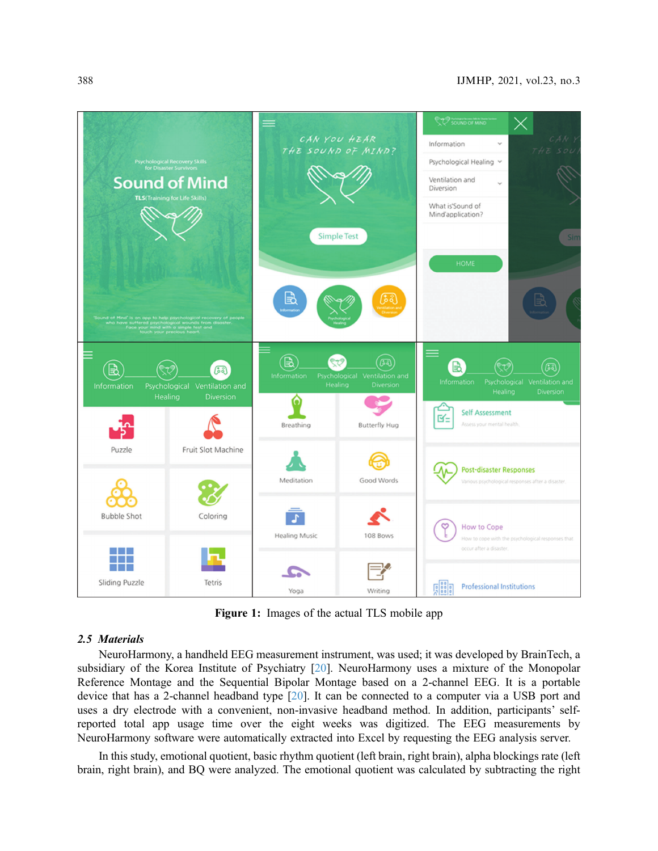<span id="page-3-0"></span>

Figure 1: Images of the actual TLS mobile app

### 2.5 Materials

NeuroHarmony, a handheld EEG measurement instrument, was used; it was developed by BrainTech, a subsidiary of the Korea Institute of Psychiatry [[20\]](#page-8-8). NeuroHarmony uses a mixture of the Monopolar Reference Montage and the Sequential Bipolar Montage based on a 2-channel EEG. It is a portable device that has a 2-channel headband type [\[20](#page-8-8)]. It can be connected to a computer via a USB port and uses a dry electrode with a convenient, non-invasive headband method. In addition, participants' selfreported total app usage time over the eight weeks was digitized. The EEG measurements by NeuroHarmony software were automatically extracted into Excel by requesting the EEG analysis server.

In this study, emotional quotient, basic rhythm quotient (left brain, right brain), alpha blockings rate (left brain, right brain), and BQ were analyzed. The emotional quotient was calculated by subtracting the right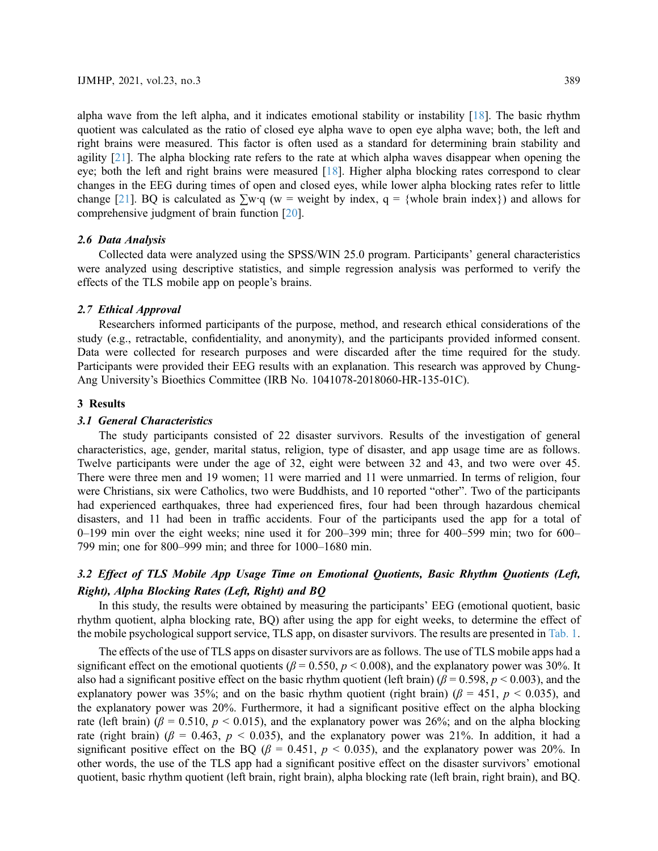alpha wave from the left alpha, and it indicates emotional stability or instability  $[18]$  $[18]$ . The basic rhythm quotient was calculated as the ratio of closed eye alpha wave to open eye alpha wave; both, the left and right brains were measured. This factor is often used as a standard for determining brain stability and agility [[21\]](#page-8-9). The alpha blocking rate refers to the rate at which alpha waves disappear when opening the eye; both the left and right brains were measured [[18\]](#page-8-6). Higher alpha blocking rates correspond to clear changes in the EEG during times of open and closed eyes, while lower alpha blocking rates refer to little change [\[21](#page-8-9)]. BQ is calculated as  $\sum w \cdot q$  (w = weight by index, q = {whole brain index}) and allows for comprehensive judgment of brain function [\[20](#page-8-8)].

### 2.6 Data Analysis

Collected data were analyzed using the SPSS/WIN 25.0 program. Participants' general characteristics were analyzed using descriptive statistics, and simple regression analysis was performed to verify the effects of the TLS mobile app on people's brains.

### 2.7 Ethical Approval

Researchers informed participants of the purpose, method, and research ethical considerations of the study (e.g., retractable, confidentiality, and anonymity), and the participants provided informed consent. Data were collected for research purposes and were discarded after the time required for the study. Participants were provided their EEG results with an explanation. This research was approved by Chung-Ang University's Bioethics Committee (IRB No. 1041078-2018060-HR-135-01C).

### 3 Results

### 3.1 General Characteristics

The study participants consisted of 22 disaster survivors. Results of the investigation of general characteristics, age, gender, marital status, religion, type of disaster, and app usage time are as follows. Twelve participants were under the age of 32, eight were between 32 and 43, and two were over 45. There were three men and 19 women; 11 were married and 11 were unmarried. In terms of religion, four were Christians, six were Catholics, two were Buddhists, and 10 reported "other". Two of the participants had experienced earthquakes, three had experienced fires, four had been through hazardous chemical disasters, and 11 had been in traffic accidents. Four of the participants used the app for a total of 0–199 min over the eight weeks; nine used it for 200–399 min; three for 400–599 min; two for 600– 799 min; one for 800–999 min; and three for 1000–1680 min.

## 3.2 Effect of TLS Mobile App Usage Time on Emotional Quotients, Basic Rhythm Quotients (Left, Right), Alpha Blocking Rates (Left, Right) and BQ

In this study, the results were obtained by measuring the participants' EEG (emotional quotient, basic rhythm quotient, alpha blocking rate, BQ) after using the app for eight weeks, to determine the effect of the mobile psychological support service, TLS app, on disaster survivors. The results are presented in [Tab. 1](#page-5-0).

The effects of the use of TLS apps on disaster survivors are as follows. The use of TLS mobile apps had a significant effect on the emotional quotients ( $\beta$  = 0.550,  $p$  < 0.008), and the explanatory power was 30%. It also had a significant positive effect on the basic rhythm quotient (left brain) ( $\beta$  = 0.598, p < 0.003), and the explanatory power was 35%; and on the basic rhythm quotient (right brain) ( $\beta$  = 451,  $p$  < 0.035), and the explanatory power was 20%. Furthermore, it had a significant positive effect on the alpha blocking rate (left brain) ( $\beta$  = 0.510,  $p$  < 0.015), and the explanatory power was 26%; and on the alpha blocking rate (right brain) ( $\beta$  = 0.463,  $p$  < 0.035), and the explanatory power was 21%. In addition, it had a significant positive effect on the BQ ( $\beta$  = 0.451,  $p$  < 0.035), and the explanatory power was 20%. In other words, the use of the TLS app had a significant positive effect on the disaster survivors' emotional quotient, basic rhythm quotient (left brain, right brain), alpha blocking rate (left brain, right brain), and BQ.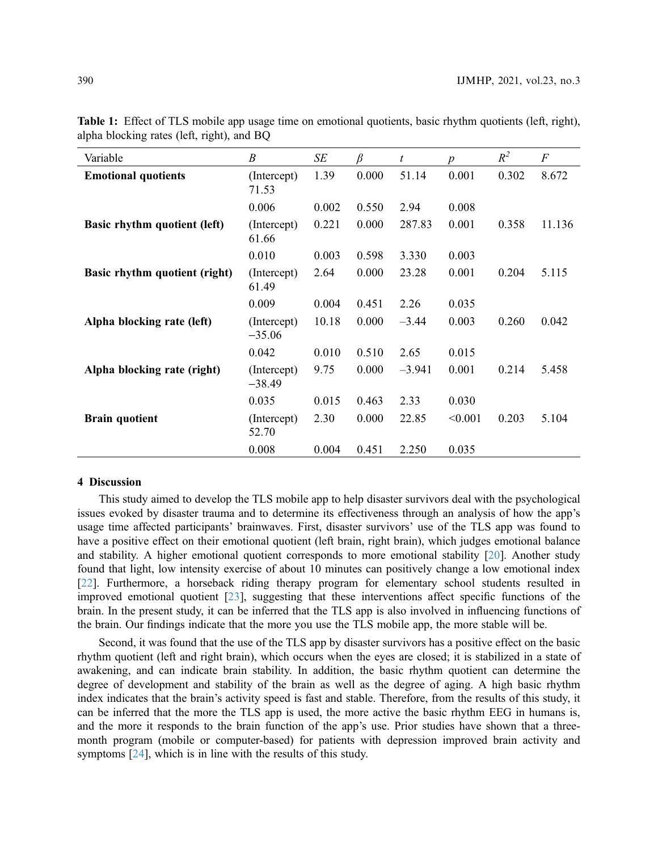| Variable                      | $\boldsymbol{B}$        | SE    | $\beta$ | t        | $\boldsymbol{p}$ | $R^2$ | $\boldsymbol{F}$ |
|-------------------------------|-------------------------|-------|---------|----------|------------------|-------|------------------|
| <b>Emotional quotients</b>    | (Intercept)<br>71.53    | 1.39  | 0.000   | 51.14    | 0.001            | 0.302 | 8.672            |
|                               | 0.006                   | 0.002 | 0.550   | 2.94     | 0.008            |       |                  |
| Basic rhythm quotient (left)  | (Intercept)<br>61.66    | 0.221 | 0.000   | 287.83   | 0.001            | 0.358 | 11.136           |
|                               | 0.010                   | 0.003 | 0.598   | 3.330    | 0.003            |       |                  |
| Basic rhythm quotient (right) | (Intercept)<br>61.49    | 2.64  | 0.000   | 23.28    | 0.001            | 0.204 | 5.115            |
|                               | 0.009                   | 0.004 | 0.451   | 2.26     | 0.035            |       |                  |
| Alpha blocking rate (left)    | (Intercept)<br>$-35.06$ | 10.18 | 0.000   | $-3.44$  | 0.003            | 0.260 | 0.042            |
|                               | 0.042                   | 0.010 | 0.510   | 2.65     | 0.015            |       |                  |
| Alpha blocking rate (right)   | (Intercept)<br>$-38.49$ | 9.75  | 0.000   | $-3.941$ | 0.001            | 0.214 | 5.458            |
|                               | 0.035                   | 0.015 | 0.463   | 2.33     | 0.030            |       |                  |
| <b>Brain quotient</b>         | (Intercept)<br>52.70    | 2.30  | 0.000   | 22.85    | < 0.001          | 0.203 | 5.104            |
|                               | 0.008                   | 0.004 | 0.451   | 2.250    | 0.035            |       |                  |

<span id="page-5-0"></span>Table 1: Effect of TLS mobile app usage time on emotional quotients, basic rhythm quotients (left, right), alpha blocking rates (left, right), and BQ

#### 4 Discussion

This study aimed to develop the TLS mobile app to help disaster survivors deal with the psychological issues evoked by disaster trauma and to determine its effectiveness through an analysis of how the app's usage time affected participants' brainwaves. First, disaster survivors' use of the TLS app was found to have a positive effect on their emotional quotient (left brain, right brain), which judges emotional balance and stability. A higher emotional quotient corresponds to more emotional stability [[20](#page-8-8)]. Another study found that light, low intensity exercise of about 10 minutes can positively change a low emotional index [[22](#page-8-10)]. Furthermore, a horseback riding therapy program for elementary school students resulted in improved emotional quotient [\[23](#page-8-11)], suggesting that these interventions affect specific functions of the brain. In the present study, it can be inferred that the TLS app is also involved in influencing functions of the brain. Our findings indicate that the more you use the TLS mobile app, the more stable will be.

Second, it was found that the use of the TLS app by disaster survivors has a positive effect on the basic rhythm quotient (left and right brain), which occurs when the eyes are closed; it is stabilized in a state of awakening, and can indicate brain stability. In addition, the basic rhythm quotient can determine the degree of development and stability of the brain as well as the degree of aging. A high basic rhythm index indicates that the brain's activity speed is fast and stable. Therefore, from the results of this study, it can be inferred that the more the TLS app is used, the more active the basic rhythm EEG in humans is, and the more it responds to the brain function of the app's use. Prior studies have shown that a threemonth program (mobile or computer-based) for patients with depression improved brain activity and symptoms [[24](#page-8-12)], which is in line with the results of this study.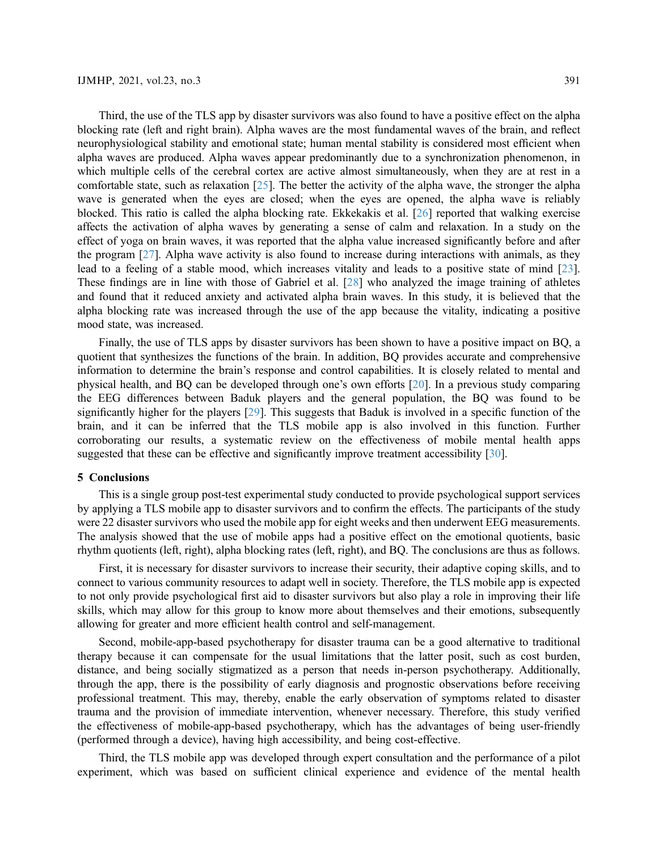Third, the use of the TLS app by disaster survivors was also found to have a positive effect on the alpha blocking rate (left and right brain). Alpha waves are the most fundamental waves of the brain, and reflect neurophysiological stability and emotional state; human mental stability is considered most efficient when alpha waves are produced. Alpha waves appear predominantly due to a synchronization phenomenon, in which multiple cells of the cerebral cortex are active almost simultaneously, when they are at rest in a comfortable state, such as relaxation [\[25](#page-8-13)]. The better the activity of the alpha wave, the stronger the alpha wave is generated when the eyes are closed; when the eyes are opened, the alpha wave is reliably blocked. This ratio is called the alpha blocking rate. Ekkekakis et al. [[26\]](#page-8-14) reported that walking exercise affects the activation of alpha waves by generating a sense of calm and relaxation. In a study on the effect of yoga on brain waves, it was reported that the alpha value increased significantly before and after the program [[27\]](#page-8-15). Alpha wave activity is also found to increase during interactions with animals, as they lead to a feeling of a stable mood, which increases vitality and leads to a positive state of mind [[23\]](#page-8-11). These findings are in line with those of Gabriel et al. [\[28](#page-8-16)] who analyzed the image training of athletes and found that it reduced anxiety and activated alpha brain waves. In this study, it is believed that the alpha blocking rate was increased through the use of the app because the vitality, indicating a positive mood state, was increased.

Finally, the use of TLS apps by disaster survivors has been shown to have a positive impact on BQ, a quotient that synthesizes the functions of the brain. In addition, BQ provides accurate and comprehensive information to determine the brain's response and control capabilities. It is closely related to mental and physical health, and BQ can be developed through one's own efforts [\[20](#page-8-8)]. In a previous study comparing the EEG differences between Baduk players and the general population, the BQ was found to be significantly higher for the players [[29\]](#page-8-17). This suggests that Baduk is involved in a specific function of the brain, and it can be inferred that the TLS mobile app is also involved in this function. Further corroborating our results, a systematic review on the effectiveness of mobile mental health apps suggested that these can be effective and significantly improve treatment accessibility [\[30](#page-8-18)].

### 5 Conclusions

This is a single group post-test experimental study conducted to provide psychological support services by applying a TLS mobile app to disaster survivors and to confirm the effects. The participants of the study were 22 disaster survivors who used the mobile app for eight weeks and then underwent EEG measurements. The analysis showed that the use of mobile apps had a positive effect on the emotional quotients, basic rhythm quotients (left, right), alpha blocking rates (left, right), and BQ. The conclusions are thus as follows.

First, it is necessary for disaster survivors to increase their security, their adaptive coping skills, and to connect to various community resources to adapt well in society. Therefore, the TLS mobile app is expected to not only provide psychological first aid to disaster survivors but also play a role in improving their life skills, which may allow for this group to know more about themselves and their emotions, subsequently allowing for greater and more efficient health control and self-management.

Second, mobile-app-based psychotherapy for disaster trauma can be a good alternative to traditional therapy because it can compensate for the usual limitations that the latter posit, such as cost burden, distance, and being socially stigmatized as a person that needs in-person psychotherapy. Additionally, through the app, there is the possibility of early diagnosis and prognostic observations before receiving professional treatment. This may, thereby, enable the early observation of symptoms related to disaster trauma and the provision of immediate intervention, whenever necessary. Therefore, this study verified the effectiveness of mobile-app-based psychotherapy, which has the advantages of being user-friendly (performed through a device), having high accessibility, and being cost-effective.

Third, the TLS mobile app was developed through expert consultation and the performance of a pilot experiment, which was based on sufficient clinical experience and evidence of the mental health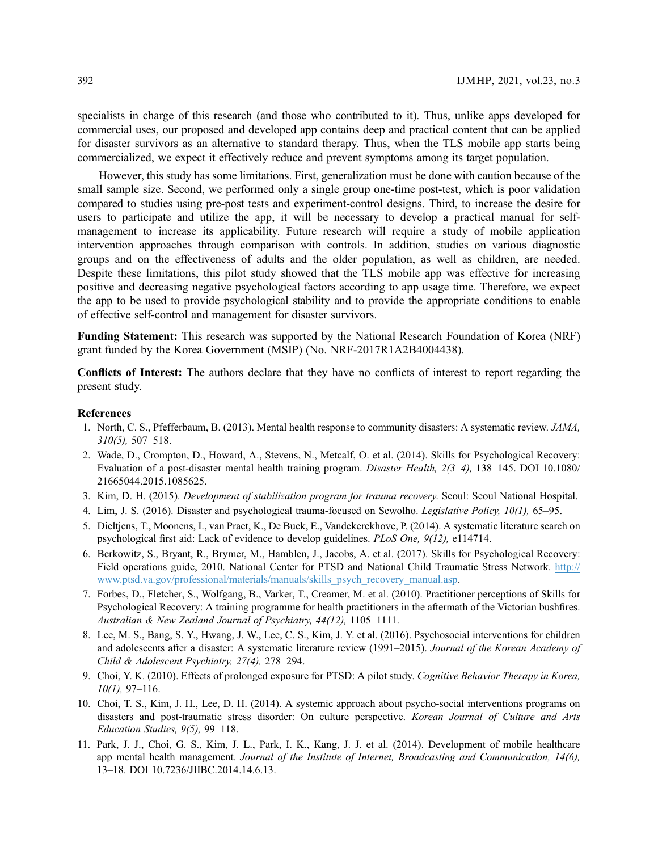specialists in charge of this research (and those who contributed to it). Thus, unlike apps developed for commercial uses, our proposed and developed app contains deep and practical content that can be applied for disaster survivors as an alternative to standard therapy. Thus, when the TLS mobile app starts being commercialized, we expect it effectively reduce and prevent symptoms among its target population.

However, this study has some limitations. First, generalization must be done with caution because of the small sample size. Second, we performed only a single group one-time post-test, which is poor validation compared to studies using pre-post tests and experiment-control designs. Third, to increase the desire for users to participate and utilize the app, it will be necessary to develop a practical manual for selfmanagement to increase its applicability. Future research will require a study of mobile application intervention approaches through comparison with controls. In addition, studies on various diagnostic groups and on the effectiveness of adults and the older population, as well as children, are needed. Despite these limitations, this pilot study showed that the TLS mobile app was effective for increasing positive and decreasing negative psychological factors according to app usage time. Therefore, we expect the app to be used to provide psychological stability and to provide the appropriate conditions to enable of effective self-control and management for disaster survivors.

Funding Statement: This research was supported by the National Research Foundation of Korea (NRF) grant funded by the Korea Government (MSIP) (No. NRF-2017R1A2B4004438).

Conflicts of Interest: The authors declare that they have no conflicts of interest to report regarding the present study.

#### References

- <span id="page-7-0"></span>1. North, C. S., Pfefferbaum, B. (2013). Mental health response to community disasters: A systematic review. JAMA, 310(5), 507–518.
- <span id="page-7-1"></span>2. Wade, D., Crompton, D., Howard, A., Stevens, N., Metcalf, O. et al. (2014). Skills for Psychological Recovery: Evaluation of a post-disaster mental health training program. Disaster Health, 2(3–4), 138–145. DOI [10.1080/](http://dx.doi.org/10.1080/21665044.2015.1085625) [21665044.2015.1085625](http://dx.doi.org/10.1080/21665044.2015.1085625).
- <span id="page-7-2"></span>3. Kim, D. H. (2015). Development of stabilization program for trauma recovery. Seoul: Seoul National Hospital.
- <span id="page-7-3"></span>4. Lim, J. S. (2016). Disaster and psychological trauma-focused on Sewolho. Legislative Policy, 10(1), 65–95.
- <span id="page-7-4"></span>5. Dieltjens, T., Moonens, I., van Praet, K., De Buck, E., Vandekerckhove, P. (2014). A systematic literature search on psychological first aid: Lack of evidence to develop guidelines. PLoS One, 9(12), e114714.
- <span id="page-7-5"></span>6. Berkowitz, S., Bryant, R., Brymer, M., Hamblen, J., Jacobs, A. et al. (2017). Skills for Psychological Recovery: Field operations guide, 2010. National Center for PTSD and National Child Traumatic Stress Network. [http://](http://www.ptsd.va.gov/professional/materials/manuals/skills_psych_recovery_manual.asp) [www.ptsd.va.gov/professional/materials/manuals/skills\\_psych\\_recovery\\_manual.asp.](http://www.ptsd.va.gov/professional/materials/manuals/skills_psych_recovery_manual.asp)
- <span id="page-7-6"></span>7. Forbes, D., Fletcher, S., Wolfgang, B., Varker, T., Creamer, M. et al. (2010). Practitioner perceptions of Skills for Psychological Recovery: A training programme for health practitioners in the aftermath of the Victorian bushfires. Australian & New Zealand Journal of Psychiatry, 44(12), 1105–1111.
- <span id="page-7-7"></span>8. Lee, M. S., Bang, S. Y., Hwang, J. W., Lee, C. S., Kim, J. Y. et al. (2016). Psychosocial interventions for children and adolescents after a disaster: A systematic literature review (1991–2015). Journal of the Korean Academy of Child & Adolescent Psychiatry, 27(4), 278–294.
- <span id="page-7-8"></span>9. Choi, Y. K. (2010). Effects of prolonged exposure for PTSD: A pilot study. Cognitive Behavior Therapy in Korea,  $10(1)$ , 97-116.
- <span id="page-7-9"></span>10. Choi, T. S., Kim, J. H., Lee, D. H. (2014). A systemic approach about psycho-social interventions programs on disasters and post-traumatic stress disorder: On culture perspective. Korean Journal of Culture and Arts Education Studies, 9(5), 99–118.
- <span id="page-7-10"></span>11. Park, J. J., Choi, G. S., Kim, J. L., Park, I. K., Kang, J. J. et al. (2014). Development of mobile healthcare app mental health management. Journal of the Institute of Internet, Broadcasting and Communication, 14(6), 13–18. DOI [10.7236/JIIBC.2014.14.6.13.](http://dx.doi.org/10.7236/JIIBC.2014.14.6.13)